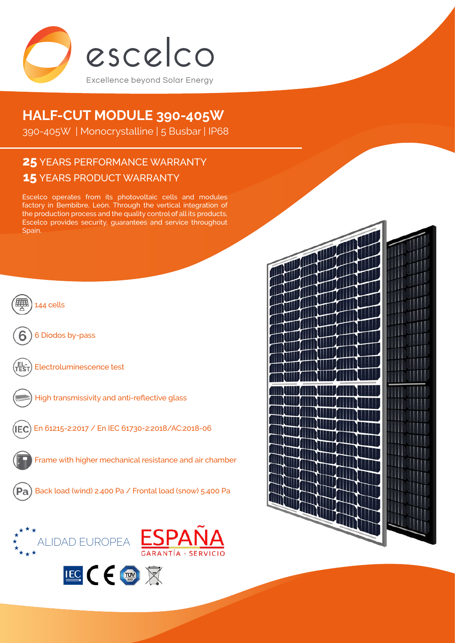

# **HALF-CUT MODULE 390-405W**

390-405W | Monocrystalline | 5 Busbar | IP68

# **15** YEARS PRODUCT WARRANTY **25** YEARS PERFORMANCE WARRANTY

Escelco operates from its photovoltaic cells and modules factory in Bembibre, León. Through the vertical integration of the production process and the quality control of all its products, Escelco provides security, guarantees and service throughout Spain.